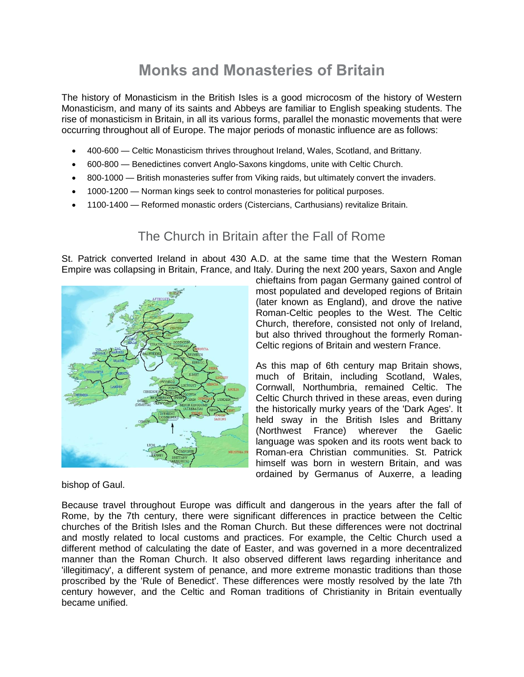# **Monks and Monasteries of Britain**

The history of Monasticism in the British Isles is a good microcosm of the history of Western Monasticism, and many of its saints and Abbeys are familiar to English speaking students. The rise of monasticism in Britain, in all its various forms, parallel the monastic movements that were occurring throughout all of Europe. The major periods of monastic influence are as follows:

- 400-600 Celtic Monasticism thrives throughout Ireland, Wales, Scotland, and Brittany.
- 600-800 Benedictines convert Anglo-Saxons kingdoms, unite with Celtic Church.
- 800-1000 British monasteries suffer from Viking raids, but ultimately convert the invaders.
- 1000-1200 Norman kings seek to control monasteries for political purposes.
- 1100-1400 Reformed monastic orders (Cistercians, Carthusians) revitalize Britain.

# The Church in Britain after the Fall of Rome

St. Patrick converted Ireland in about 430 A.D. at the same time that the Western Roman Empire was collapsing in Britain, France, and Italy. During the next 200 years, Saxon and Angle



bishop of Gaul.

chieftains from pagan Germany gained control of most populated and developed regions of Britain (later known as England), and drove the native Roman-Celtic peoples to the West. The Celtic Church, therefore, consisted not only of Ireland, but also thrived throughout the formerly Roman-Celtic regions of Britain and western France.

As this map of 6th century map Britain shows, much of Britain, including Scotland, Wales, Cornwall, Northumbria, remained Celtic. The Celtic Church thrived in these areas, even during the historically murky years of the 'Dark Ages'. It held sway in the British Isles and Brittany (Northwest France) wherever the Gaelic language was spoken and its roots went back to Roman-era Christian communities. St. Patrick himself was born in western Britain, and was ordained by Germanus of Auxerre, a leading

Because travel throughout Europe was difficult and dangerous in the years after the fall of Rome, by the 7th century, there were significant differences in practice between the Celtic churches of the British Isles and the Roman Church. But these differences were not doctrinal and mostly related to local customs and practices. For example, the Celtic Church used a different method of calculating the date of Easter, and was governed in a more decentralized manner than the Roman Church. It also observed different laws regarding inheritance and 'illegitimacy', a different system of penance, and more extreme monastic traditions than those proscribed by the 'Rule of Benedict'. These differences were mostly resolved by the late 7th century however, and the Celtic and Roman traditions of Christianity in Britain eventually became unified.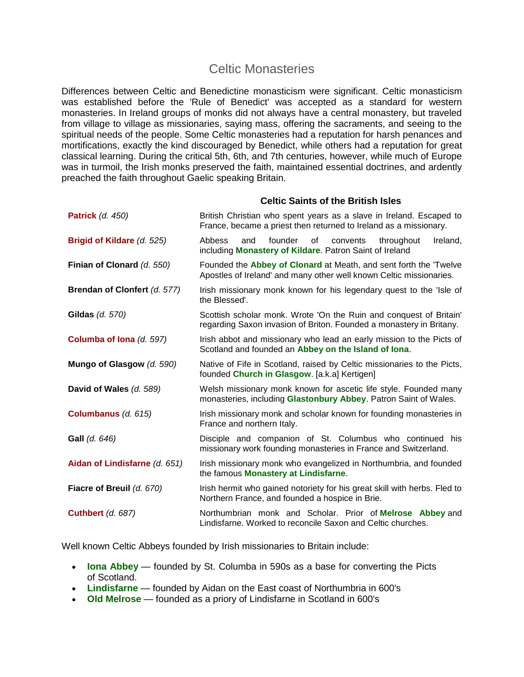### Celtic Monasteries

Differences between Celtic and Benedictine monasticism were significant. Celtic monasticism was established before the 'Rule of Benedict' was accepted as a standard for western monasteries. In Ireland groups of monks did not always have a central monastery, but traveled from village to village as missionaries, saying mass, offering the sacraments, and seeing to the spiritual needs of the people. Some Celtic monasteries had a reputation for harsh penances and mortifications, exactly the kind discouraged by Benedict, while others had a reputation for great classical learning. During the critical 5th, 6th, and 7th centuries, however, while much of Europe was in turmoil, the Irish monks preserved the faith, maintained essential doctrines, and ardently preached the faith throughout Gaelic speaking Britain.

#### **Celtic Saints of the British Isles**

| <b>Patrick</b> (d. 450)       | British Christian who spent years as a slave in Ireland. Escaped to<br>France, became a priest then returned to Ireland as a missionary.  |
|-------------------------------|-------------------------------------------------------------------------------------------------------------------------------------------|
| Brigid of Kildare (d. 525)    | <b>Abbess</b><br>founder<br>of<br>throughout<br>Ireland,<br>and<br>convents<br>including Monastery of Kildare. Patron Saint of Ireland    |
| Finian of Clonard (d. 550)    | Founded the Abbey of Clonard at Meath, and sent forth the 'Twelve<br>Apostles of Ireland' and many other well known Celtic missionaries.  |
| Brendan of Clonfert (d. 577)  | Irish missionary monk known for his legendary quest to the 'Isle of<br>the Blessed'.                                                      |
| Gildas (d. 570)               | Scottish scholar monk. Wrote 'On the Ruin and conquest of Britain'<br>regarding Saxon invasion of Briton. Founded a monastery in Britany. |
| Columba of Iona (d. 597)      | Irish abbot and missionary who lead an early mission to the Picts of<br>Scotland and founded an Abbey on the Island of Iona.              |
| Mungo of Glasgow (d. 590)     | Native of Fife in Scotland, raised by Celtic missionaries to the Picts,<br>founded Church in Glasgow. [a.k.a] Kertigen]                   |
| David of Wales (d. 589)       | Welsh missionary monk known for ascetic life style. Founded many<br>monasteries, including Glastonbury Abbey. Patron Saint of Wales.      |
| Columbanus (d. 615)           | Irish missionary monk and scholar known for founding monasteries in<br>France and northern Italy.                                         |
| <b>Gall</b> (d. 646)          | Disciple and companion of St. Columbus who continued his<br>missionary work founding monasteries in France and Switzerland.               |
| Aidan of Lindisfarne (d. 651) | Irish missionary monk who evangelized in Northumbria, and founded<br>the famous Monastery at Lindisfarne.                                 |
| Fiacre of Breuil (d. 670)     | Irish hermit who gained notoriety for his great skill with herbs. Fled to<br>Northern France, and founded a hospice in Brie.              |
| <b>Cuthbert (d. 687)</b>      | Northumbrian monk and Scholar. Prior of Melrose Abbey and<br>Lindisfarne. Worked to reconcile Saxon and Celtic churches.                  |

Well known Celtic Abbeys founded by Irish missionaries to Britain include:

- **Iona Abbey** founded by St. Columba in 590s as a base for converting the Picts of Scotland.
- **Lindisfarne** founded by Aidan on the East coast of Northumbria in 600's
- **Old Melrose** founded as a priory of Lindisfarne in Scotland in 600's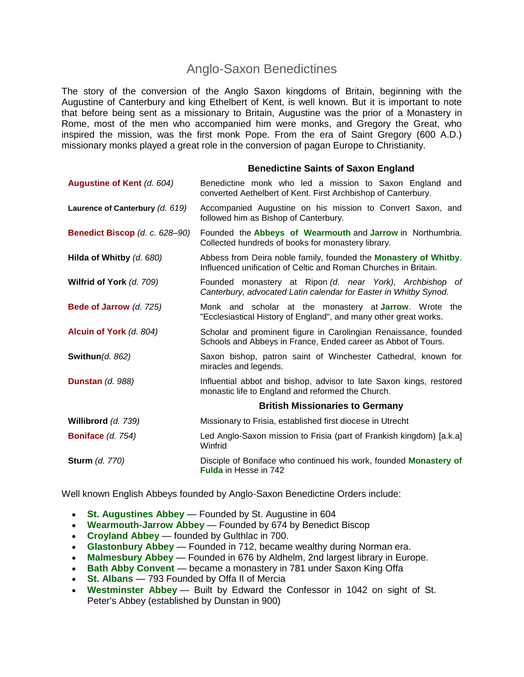### Anglo-Saxon Benedictines

The story of the conversion of the Anglo Saxon kingdoms of Britain, beginning with the Augustine of Canterbury and king Ethelbert of Kent, is well known. But it is important to note that before being sent as a missionary to Britain, Augustine was the prior of a Monastery in Rome, most of the men who accompanied him were monks, and Gregory the Great, who inspired the mission, was the first monk Pope. From the era of Saint Gregory (600 A.D.) missionary monks played a great role in the conversion of pagan Europe to Christianity.

#### **Benedictine Saints of Saxon England**

| Augustine of Kent (d. 604)            | Benedictine monk who led a mission to Saxon England and<br>converted Aethelbert of Kent. First Archbishop of Canterbury.            |
|---------------------------------------|-------------------------------------------------------------------------------------------------------------------------------------|
| Laurence of Canterbury (d. 619)       | Accompanied Augustine on his mission to Convert Saxon, and<br>followed him as Bishop of Canterbury.                                 |
| <b>Benedict Biscop (d. c. 628-90)</b> | Founded the Abbeys of Wearmouth and Jarrow in Northumbria.<br>Collected hundreds of books for monastery library.                    |
| Hilda of Whitby (d. 680)              | Abbess from Deira noble family, founded the Monastery of Whitby.<br>Influenced unification of Celtic and Roman Churches in Britain. |
| Wilfrid of York (d. 709)              | Founded monastery at Ripon (d. near York), Archbishop of<br>Canterbury, advocated Latin calendar for Easter in Whitby Synod.        |
| Bede of Jarrow (d. 725)               | Monk and scholar at the monastery at <b>Jarrow</b> . Wrote the<br>"Ecclesiastical History of England", and many other great works.  |
| Alcuin of York (d. 804)               | Scholar and prominent figure in Carolingian Renaissance, founded<br>Schools and Abbeys in France, Ended career as Abbot of Tours.   |
| <b>Swithun(d. 862)</b>                | Saxon bishop, patron saint of Winchester Cathedral, known for<br>miracles and legends.                                              |
| <b>Dunstan</b> $(d. 988)$             | Influential abbot and bishop, advisor to late Saxon kings, restored<br>monastic life to England and reformed the Church.            |
|                                       | <b>British Missionaries to Germany</b>                                                                                              |
| Willibrord (d. 739)                   | Missionary to Frisia, established first diocese in Utrecht                                                                          |
| <b>Boniface</b> $(d. 754)$            | Led Anglo-Saxon mission to Frisia (part of Frankish kingdom) [a.k.a]<br>Winfrid                                                     |
| <b>Sturm</b> (d. 770)                 | Disciple of Boniface who continued his work, founded Monastery of<br><b>Fulda</b> in Hesse in 742                                   |

Well known English Abbeys founded by Anglo-Saxon Benedictine Orders include:

- **St. Augustines Abbey** Founded by St. Augustine in 604
- **Wearmouth-Jarrow Abbey** Founded by 674 by Benedict Biscop
- **Croyland Abbey** founded by Gulthlac in 700.
- **Glastonbury Abbey** Founded in 712, became wealthy during Norman era.
- **Malmesbury Abbey** Founded in 676 by Aldhelm, 2nd largest library in Europe.
- **Bath Abby Convent** became a monastery in 781 under Saxon King Offa
- **St. Albans** 793 Founded by Offa II of Mercia
- **Westminster Abbey** Built by Edward the Confessor in 1042 on sight of St. Peter's Abbey (established by Dunstan in 900)